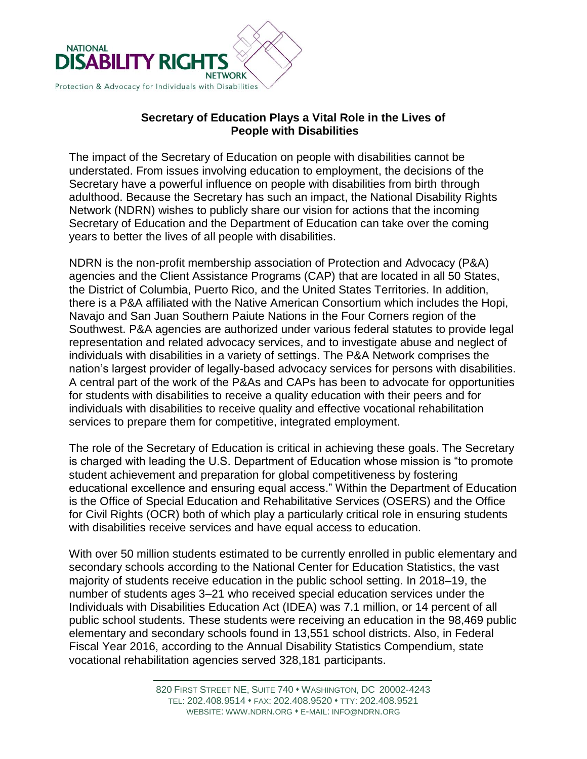

## **Secretary of Education Plays a Vital Role in the Lives of People with Disabilities**

The impact of the Secretary of Education on people with disabilities cannot be understated. From issues involving education to employment, the decisions of the Secretary have a powerful influence on people with disabilities from birth through adulthood. Because the Secretary has such an impact, the National Disability Rights Network (NDRN) wishes to publicly share our vision for actions that the incoming Secretary of Education and the Department of Education can take over the coming years to better the lives of all people with disabilities.

NDRN is the non-profit membership association of Protection and Advocacy (P&A) agencies and the Client Assistance Programs (CAP) that are located in all 50 States, the District of Columbia, Puerto Rico, and the United States Territories. In addition, there is a P&A affiliated with the Native American Consortium which includes the Hopi, Navajo and San Juan Southern Paiute Nations in the Four Corners region of the Southwest. P&A agencies are authorized under various federal statutes to provide legal representation and related advocacy services, and to investigate abuse and neglect of individuals with disabilities in a variety of settings. The P&A Network comprises the nation's largest provider of legally-based advocacy services for persons with disabilities. A central part of the work of the P&As and CAPs has been to advocate for opportunities for students with disabilities to receive a quality education with their peers and for individuals with disabilities to receive quality and effective vocational rehabilitation services to prepare them for competitive, integrated employment.

The role of the Secretary of Education is critical in achieving these goals. The Secretary is charged with leading the U.S. Department of Education whose mission is "to promote student achievement and preparation for global competitiveness by fostering educational excellence and ensuring equal access." Within the Department of Education is the Office of Special Education and Rehabilitative Services (OSERS) and the Office for Civil Rights (OCR) both of which play a particularly critical role in ensuring students with disabilities receive services and have equal access to education.

With over 50 million students estimated to be currently enrolled in public elementary and secondary schools according to the National Center for Education Statistics, the vast majority of students receive education in the public school setting. In 2018–19, the number of students ages 3–21 who received special education services under the Individuals with Disabilities Education Act (IDEA) was 7.1 million, or 14 percent of all public school students. These students were receiving an education in the 98,469 public elementary and secondary schools found in 13,551 school districts. Also, in Federal Fiscal Year 2016, according to the Annual Disability Statistics Compendium, state vocational rehabilitation agencies served 328,181 participants.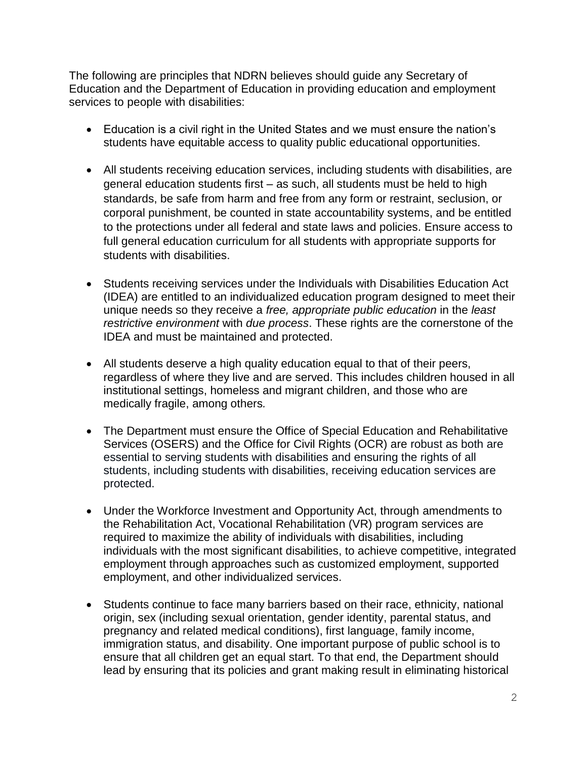The following are principles that NDRN believes should guide any Secretary of Education and the Department of Education in providing education and employment services to people with disabilities:

- Education is a civil right in the United States and we must ensure the nation's students have equitable access to quality public educational opportunities.
- All students receiving education services, including students with disabilities, are general education students first – as such, all students must be held to high standards, be safe from harm and free from any form or restraint, seclusion, or corporal punishment, be counted in state accountability systems, and be entitled to the protections under all federal and state laws and policies. Ensure access to full general education curriculum for all students with appropriate supports for students with disabilities.
- Students receiving services under the Individuals with Disabilities Education Act (IDEA) are entitled to an individualized education program designed to meet their unique needs so they receive a *free, appropriate public education* in the *least restrictive environment* with *due process*. These rights are the cornerstone of the IDEA and must be maintained and protected.
- All students deserve a high quality education equal to that of their peers, regardless of where they live and are served. This includes children housed in all institutional settings, homeless and migrant children, and those who are medically fragile, among others*.*
- The Department must ensure the Office of Special Education and Rehabilitative Services (OSERS) and the Office for Civil Rights (OCR) are robust as both are essential to serving students with disabilities and ensuring the rights of all students, including students with disabilities, receiving education services are protected.
- Under the Workforce Investment and Opportunity Act, through amendments to the Rehabilitation Act, Vocational Rehabilitation (VR) program services are required to maximize the ability of individuals with disabilities, including individuals with the most significant disabilities, to achieve competitive, integrated employment through approaches such as customized employment, supported employment, and other individualized services.
- Students continue to face many barriers based on their race, ethnicity, national origin, sex (including sexual orientation, gender identity, parental status, and pregnancy and related medical conditions), first language, family income, immigration status, and disability. One important purpose of public school is to ensure that all children get an equal start. To that end, the Department should lead by ensuring that its policies and grant making result in eliminating historical